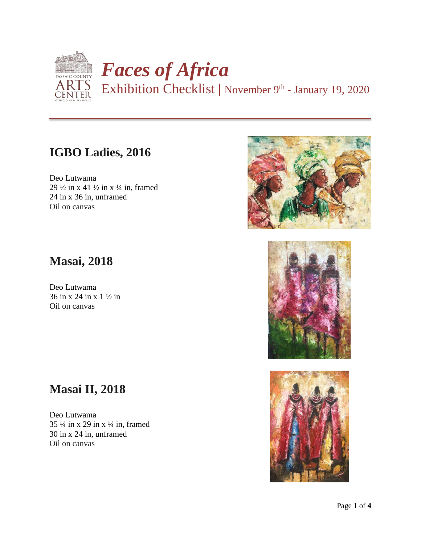

Exhibition Checklist | November 9<sup>th</sup> - January 19, 2020

### **IGBO Ladies, 2016**

Deo Lutwama 29  $\frac{1}{2}$  in x 41  $\frac{1}{2}$  in x  $\frac{1}{4}$  in, framed 24 in x 36 in, unframed Oil on canvas

### **Masai, 2018**

Deo Lutwama 36 in x 24 in x 1 ½ in Oil on canvas

# **Masai II, 2018**

Deo Lutwama 35 ¼ in x 29 in x ¼ in, framed 30 in x 24 in, unframed Oil on canvas





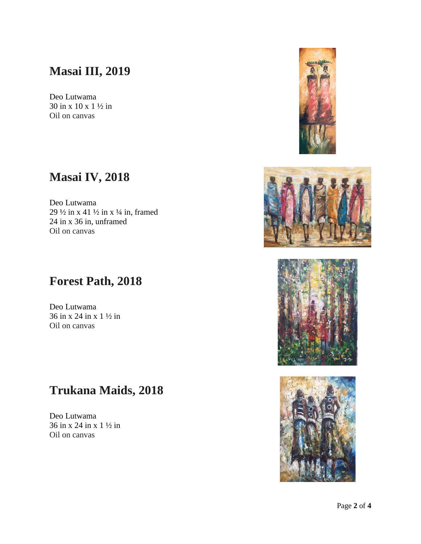### **Masai III, 2019**

Deo Lutwama 30 in x 10 x 1 ½ in Oil on canvas

### **Masai IV, 2018**

Deo Lutwama 29 ½ in x 41 ½ in x ¼ in, framed 24 in x 36 in, unframed Oil on canvas

#### **Forest Path, 2018**

Deo Lutwama 36 in x 24 in x 1 ½ in Oil on canvas

### **Trukana Maids, 2018**

Deo Lutwama 36 in x 24 in x 1 ½ in Oil on canvas







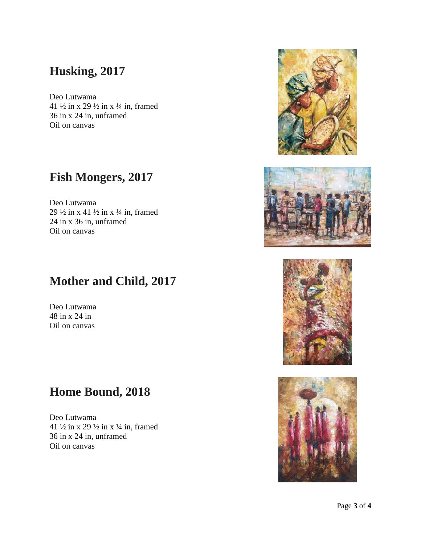### **Husking, 2017**

Deo Lutwama 41  $\frac{1}{2}$  in x  $\frac{29 \frac{1}{2}}{2}$  in x  $\frac{1}{4}$  in, framed 36 in x 24 in, unframed Oil on canvas

#### **Fish Mongers, 2017**

Deo Lutwama 29  $\frac{1}{2}$  in x 41  $\frac{1}{2}$  in x  $\frac{1}{4}$  in, framed 24 in x 36 in, unframed Oil on canvas

# **Mother and Child, 2017**

Deo Lutwama 48 in x 24 in Oil on canvas

### **Home Bound, 2018**

Deo Lutwama 41  $\frac{1}{2}$  in x  $\frac{29 \frac{1}{2}}{2}$  in x  $\frac{1}{4}$  in, framed 36 in x 24 in, unframed Oil on canvas